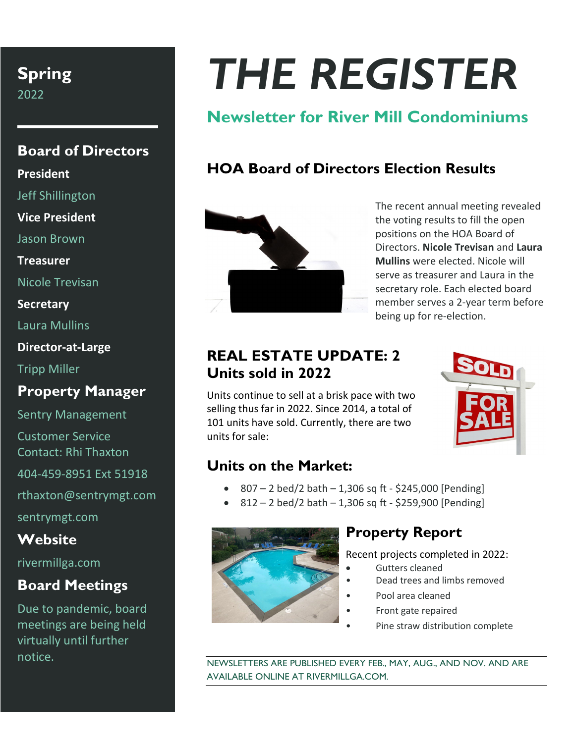# **Spring**

2022

#### **Board of Directors**

**President**

Jeff Shillington

**Vice President**

Jason Brown

**Treasurer**

Nicole Trevisan

**Secretary**

Laura Mullins

**Director-at-Large**

Tripp Miller

#### **Property Manager**

Sentry Management Customer Service Contact: Rhi Thaxton

404-459-8951 Ext 51918

rthaxton@sentrymgt.com

sentrymgt.com

#### **Website**

rivermillga.com

### **Board Meetings**

Due to pandemic, board meetings are being held virtually until further notice.

# *THE REGISTER*

# **Newsletter for River Mill Condominiums**

## **HOA Board of Directors Election Results**



The recent annual meeting revealed the voting results to fill the open positions on the HOA Board of Directors. **Nicole Trevisan** and **Laura Mullins** were elected. Nicole will serve as treasurer and Laura in the secretary role. Each elected board member serves a 2-year term before being up for re-election.

#### **REAL ESTATE UPDATE: 2 Units sold in 2022**

Units continue to sell at a brisk pace with two selling thus far in 2022. Since 2014, a total of 101 units have sold. Currently, there are two units for sale:



#### **Units on the Market:**

- 807 2 bed/2 bath 1,306 sq ft \$245,000 [Pending]
- $812 2$  bed/2 bath  $1,306$  sq ft \$259,900 [Pending]



#### **Property Report**

Recent projects completed in 2022:

- Gutters cleaned
- Dead trees and limbs removed
- Pool area cleaned
- Front gate repaired
- Pine straw distribution complete

NEWSLETTERS ARE PUBLISHED EVERY FEB., MAY, AUG., AND NOV. AND ARE AVAILABLE ONLINE AT RIVERMILLGA.COM.